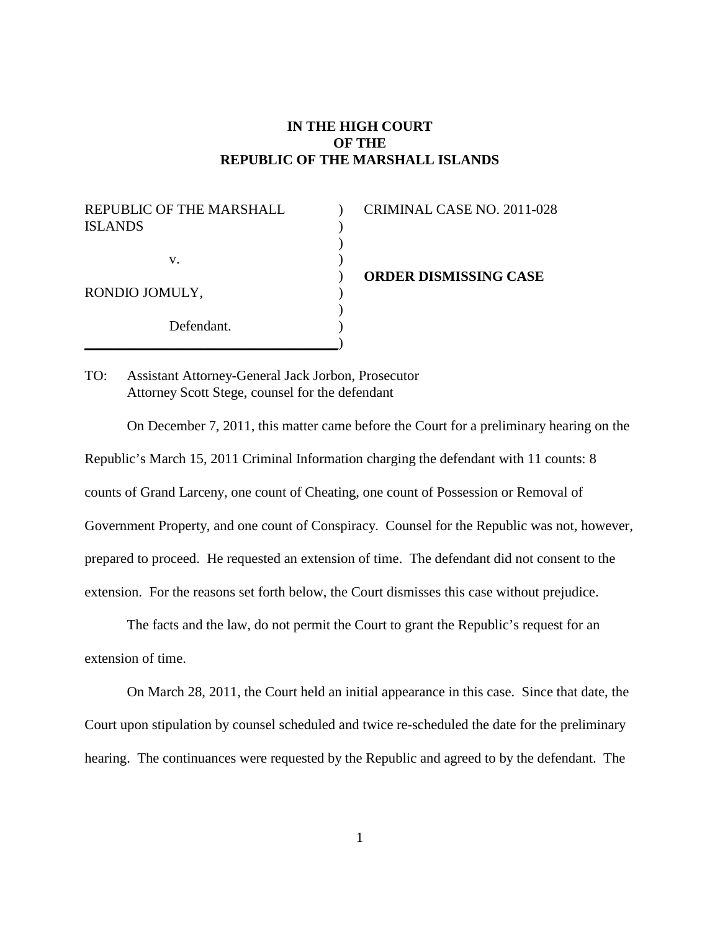## **IN THE HIGH COURT OF THE REPUBLIC OF THE MARSHALL ISLANDS**

 $\mathcal{L}$  $\mathcal{L}$  $\mathcal{L}$  $\mathcal{L}$ )  $\mathcal{L}$ ) ) )

REPUBLIC OF THE MARSHALL ISLANDS v. RONDIO JOMULY, Defendant.

\_\_\_\_\_\_\_\_\_\_\_\_\_\_\_\_\_\_\_\_\_\_\_\_\_\_\_\_\_\_\_\_\_\_\_\_

CRIMINAL CASE NO. 2011-028

**ORDER DISMISSING CASE**

TO: Assistant Attorney-General Jack Jorbon, Prosecutor Attorney Scott Stege, counsel for the defendant

On December 7, 2011, this matter came before the Court for a preliminary hearing on the Republic's March 15, 2011 Criminal Information charging the defendant with 11 counts: 8 counts of Grand Larceny, one count of Cheating, one count of Possession or Removal of Government Property, and one count of Conspiracy. Counsel for the Republic was not, however, prepared to proceed. He requested an extension of time. The defendant did not consent to the extension. For the reasons set forth below, the Court dismisses this case without prejudice.

The facts and the law, do not permit the Court to grant the Republic's request for an extension of time.

On March 28, 2011, the Court held an initial appearance in this case. Since that date, the Court upon stipulation by counsel scheduled and twice re-scheduled the date for the preliminary hearing. The continuances were requested by the Republic and agreed to by the defendant. The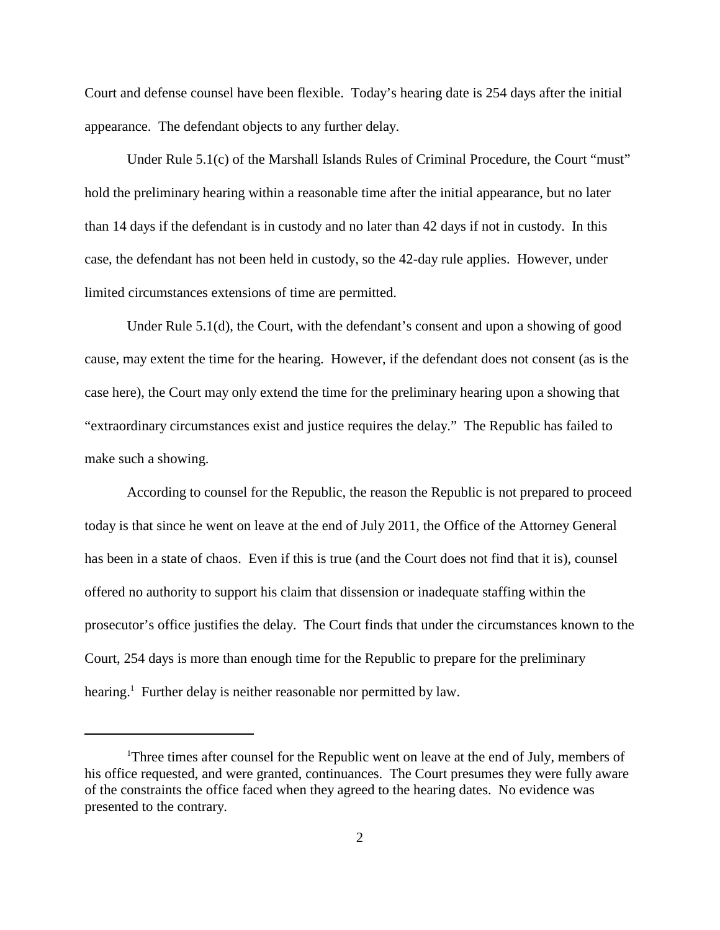Court and defense counsel have been flexible. Today's hearing date is 254 days after the initial appearance. The defendant objects to any further delay.

Under Rule 5.1(c) of the Marshall Islands Rules of Criminal Procedure, the Court "must" hold the preliminary hearing within a reasonable time after the initial appearance, but no later than 14 days if the defendant is in custody and no later than 42 days if not in custody. In this case, the defendant has not been held in custody, so the 42-day rule applies. However, under limited circumstances extensions of time are permitted.

Under Rule 5.1(d), the Court, with the defendant's consent and upon a showing of good cause, may extent the time for the hearing. However, if the defendant does not consent (as is the case here), the Court may only extend the time for the preliminary hearing upon a showing that "extraordinary circumstances exist and justice requires the delay." The Republic has failed to make such a showing.

According to counsel for the Republic, the reason the Republic is not prepared to proceed today is that since he went on leave at the end of July 2011, the Office of the Attorney General has been in a state of chaos. Even if this is true (and the Court does not find that it is), counsel offered no authority to support his claim that dissension or inadequate staffing within the prosecutor's office justifies the delay. The Court finds that under the circumstances known to the Court, 254 days is more than enough time for the Republic to prepare for the preliminary hearing.<sup>1</sup> Further delay is neither reasonable nor permitted by law.

<sup>&</sup>lt;sup>1</sup>Three times after counsel for the Republic went on leave at the end of July, members of his office requested, and were granted, continuances. The Court presumes they were fully aware of the constraints the office faced when they agreed to the hearing dates. No evidence was presented to the contrary.